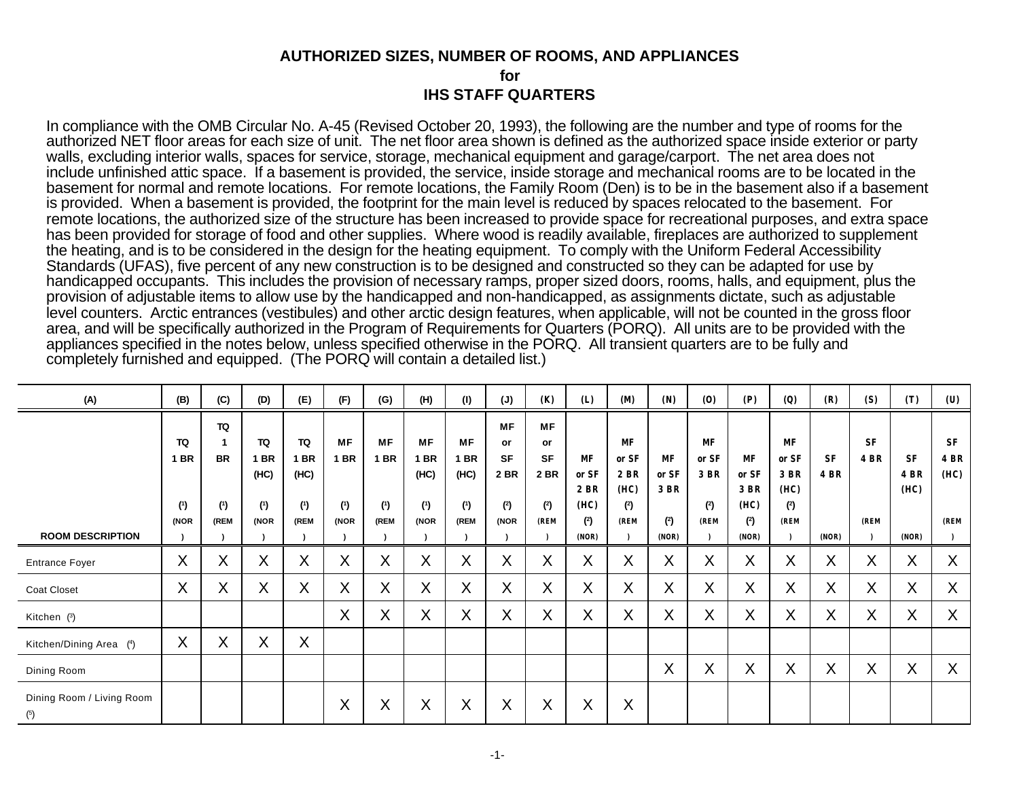# **AUTHORIZED SIZES, NUMBER OF ROOMS, AND APPLIANCES for IHS STAFF QUARTERS**

In compliance with the OMB Circular No. A-45 (Revised October 20, 1993), the following are the number and type of rooms for the authorized NET floor areas for each size of unit. The net floor area shown is defined as the authorized space inside exterior or party walls, excluding interior walls, spaces for service, storage, mechanical equipment and garage/carport. The net area does not include unfinished attic space. If a basement is provided, the service, inside storage and mechanical rooms are to be located in the basement for normal and remote locations. For remote locations, the Family Room (Den) is to be in the basement also if a basement is provided. When a basement is provided, the footprint for the main level is reduced by spaces relocated to the basement. For remote locations, the authorized size of the structure has been increased to provide space for recreational purposes, and extra space has been provided for storage of food and other supplies. Where wood is readily available, fireplaces are authorized to supplement the heating, and is to be considered in the design for the heating equipment. To comply with the Uniform Federal Accessibility Standards (UFAS), five percent of any new construction is to be designed and constructed so they can be adapted for use by handicapped occupants. This includes the provision of necessary ramps, proper sized doors, rooms, halls, and equipment, plus the provision of adjustable items to allow use by the handicapped and non-handicapped, as assignments dictate, such as adjustable level counters. Arctic entrances (vestibules) and other arctic design features, when applicable, will not be counted in the gross floor area, and will be specifically authorized in the Program of Requirements for Quarters (PORQ). All units are to be provided with the appliances specified in the notes below, unless specified otherwise in the PORQ. All transient quarters are to be fully and completely furnished and equipped. (The PORQ will contain a detailed list.)

| (A)                              | (B)         | (C)               | (D)       | (E)         | (F)               | (G)         | (H)         | (1)               | (J)       | (K)       | (L)          | <b>(M)</b>  | (N)               | (0)       | (P)          | (Q)         | (R)         | (S)                       | (T)          | (U)         |
|----------------------------------|-------------|-------------------|-----------|-------------|-------------------|-------------|-------------|-------------------|-----------|-----------|--------------|-------------|-------------------|-----------|--------------|-------------|-------------|---------------------------|--------------|-------------|
|                                  |             | TQ                |           |             |                   |             |             |                   | <b>MF</b> | MF        |              |             |                   |           |              |             |             |                           |              |             |
|                                  | TQ          |                   | TQ        | TQ          | <b>MF</b>         | <b>MF</b>   | MF          | <b>MF</b>         | or        | or        |              | <b>MF</b>   |                   | <b>MF</b> |              | <b>MF</b>   |             | <b>SF</b>                 |              | <b>SF</b>   |
|                                  | <b>1 BR</b> | <b>BR</b>         | <b>BR</b> | <b>1 BR</b> | <b>1 BR</b>       | <b>1 BR</b> | <b>1 BR</b> | <b>1 BR</b>       | <b>SF</b> | <b>SF</b> | <b>MF</b>    | or SF       | MF                | or SF     | <b>MF</b>    | or SF       | <b>SF</b>   | <b>4 BR</b>               | <b>SF</b>    | <b>4 BR</b> |
|                                  |             |                   | (HC)      | (HC)        |                   |             | (HC)        | (HC)              | 2 BR      | 2 BR      | or SF        | 2 BR        | or SF             | 3 BR      | or SF        | 3 BR        | <b>4 BR</b> |                           | <b>4 BR</b>  | (HC)        |
|                                  | (1)         | (1)               | (1)       | (1)         | (1)               | (1)         | (1)         | (1)               | (2)       | (2)       | 2 BR<br>(HC) | (HC)<br>(2) | 3 BR              | (2)       | 3 BR<br>(HC) | (HC)<br>(2) |             |                           | (HC)         |             |
|                                  | (NOR        | (REM              | (NOR      | (REM        | (NOR              | (REM        | (NOR        | (REM              | (NOR      | (REM      | (2)          | (REM        | (2)               | (REM      | (2)          | (REM        |             | (REM                      |              | (REM        |
| <b>ROOM DESCRIPTION</b>          |             |                   |           |             |                   |             |             |                   |           |           | (NOR)        |             | (NOR)             |           | (NOR)        |             | (NOR)       |                           | (NOR)        |             |
| <b>Entrance Foyer</b>            | X           | $\checkmark$<br>∧ | X         | X           | X                 | X           | X           | $\checkmark$<br>∧ | X         | X         | X            | X           | $\checkmark$<br>^ | X         | X            | X           | X           | $\checkmark$<br>$\lambda$ | $\mathsf{X}$ | X           |
| Coat Closet                      | X           | v<br>^            | X         | X           | X                 | X           | X           | X                 | X         | X         | X            | X           | v<br>Λ.           | X         | X            | X           | X           | X                         | X            | X           |
| Kitchen (3)                      |             |                   |           |             | X                 | X           | X           | X                 | X         | X         | X            | X           | v<br>Λ.           | X         | X            | X           | X           | X                         | X            | X           |
| Kitchen/Dining Area (4)          | X           | v<br>∧            | X         | X           |                   |             |             |                   |           |           |              |             |                   |           |              |             |             |                           |              |             |
| Dining Room                      |             |                   |           |             |                   |             |             |                   |           |           |              |             | $\checkmark$<br>∧ | X         | Χ            | X           | X           | X                         | X            | X           |
| Dining Room / Living Room<br>(5) |             |                   |           |             | $\checkmark$<br>∧ | X           | X           | X                 | X         | X         | X            | X           |                   |           |              |             |             |                           |              |             |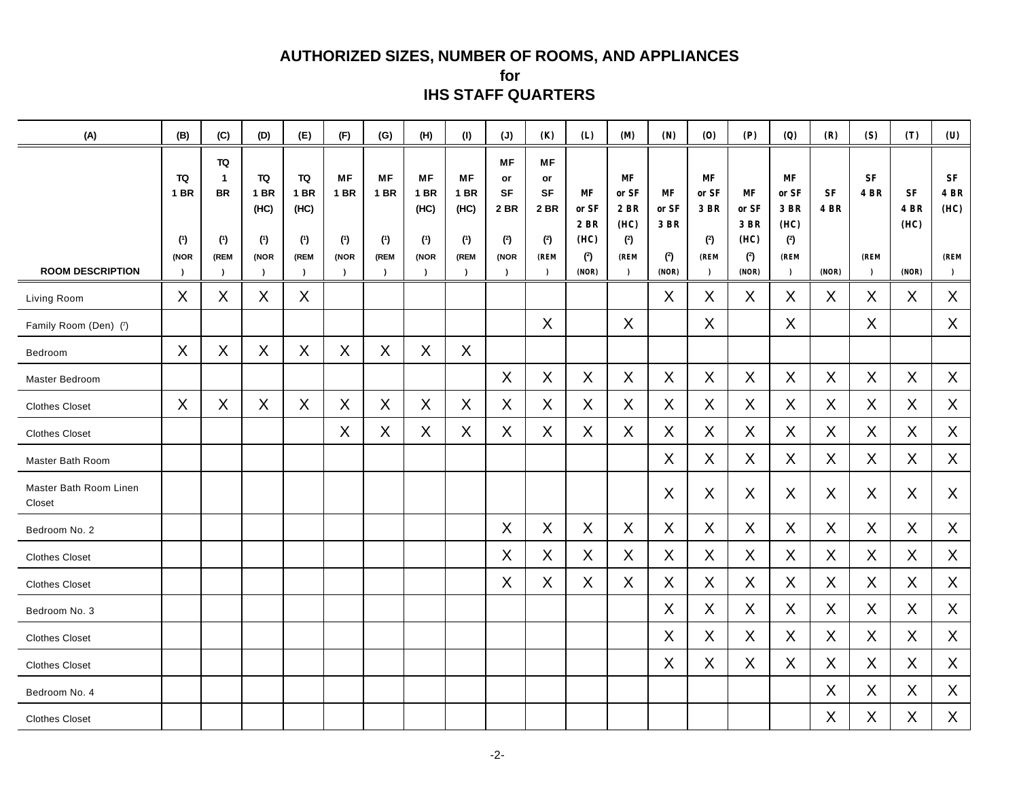## **AUTHORIZED SIZES, NUMBER OF ROOMS, AND APPLIANCES**

**for IHS STAFF QUARTERS**

| (A)                              | (B)                                               | (C)                                              | (D)                                                   | (E)                                                   | (F)                                                      | (G)                                           | (H)                                                   | (1)                                                          | (J)                                                                         | (K)                                                              | (L)                                         | <b>(M)</b>                                              | (N)                                                   | (0)                                                        | (P)                                                | (Q)                                                                 | (R)                               | (S)                                           | (T)                                       | (U)                                                   |
|----------------------------------|---------------------------------------------------|--------------------------------------------------|-------------------------------------------------------|-------------------------------------------------------|----------------------------------------------------------|-----------------------------------------------|-------------------------------------------------------|--------------------------------------------------------------|-----------------------------------------------------------------------------|------------------------------------------------------------------|---------------------------------------------|---------------------------------------------------------|-------------------------------------------------------|------------------------------------------------------------|----------------------------------------------------|---------------------------------------------------------------------|-----------------------------------|-----------------------------------------------|-------------------------------------------|-------------------------------------------------------|
| <b>ROOM DESCRIPTION</b>          | TQ<br><b>1 BR</b><br>(1)<br>(NOR<br>$\rightarrow$ | TQ<br>1<br><b>BR</b><br>(1)<br>(REM<br>$\lambda$ | TQ<br><b>1 BR</b><br>(HC)<br>(1)<br>(NOR<br>$\lambda$ | TQ<br><b>1 BR</b><br>(HC)<br>(1)<br>(REM<br>$\lambda$ | <b>MF</b><br><b>1 BR</b><br>(1)<br>(NOR<br>$\rightarrow$ | MF<br><b>1 BR</b><br>(1)<br>(REM<br>$\lambda$ | ΜF<br><b>1 BR</b><br>(HC)<br>(1)<br>(NOR<br>$\lambda$ | <b>MF</b><br><b>1 BR</b><br>(HC)<br>(1)<br>(REM<br>$\lambda$ | <b>MF</b><br>or<br><b>SF</b><br><b>2 BR</b><br>(2)<br>(NOR<br>$\rightarrow$ | <b>MF</b><br>or<br><b>SF</b><br>2 BR<br>(2)<br>(REM<br>$\lambda$ | MF<br>or SF<br>2 BR<br>(HC)<br>(2)<br>(NOR) | MF<br>or SF<br>2 BR<br>(HC)<br>(2)<br>(REM<br>$\lambda$ | МF<br>or SF<br><b>3 BR</b><br>$\binom{2}{ }$<br>(NOR) | MF<br>or SF<br>3 BR<br>$\binom{2}{ }$<br>(REM<br>$\lambda$ | <b>MF</b><br>or SF<br>3 BR<br>(HC)<br>(2)<br>(NOR) | MF<br>or ${\rm \bf SF}$<br>3 BR<br>(HC)<br>(2)<br>(REM<br>$\lambda$ | <b>SF</b><br><b>4 BR</b><br>(NOR) | <b>SF</b><br><b>4 BR</b><br>(REM<br>$\lambda$ | <b>SF</b><br><b>4 BR</b><br>(HC)<br>(NOR) | <b>SF</b><br><b>4 BR</b><br>(HC)<br>(REM<br>$\lambda$ |
| Living Room                      | X                                                 | X                                                | X                                                     | X                                                     |                                                          |                                               |                                                       |                                                              |                                                                             |                                                                  |                                             |                                                         | X                                                     | X                                                          | X                                                  | X                                                                   | X                                 | X                                             | X                                         | X                                                     |
| Family Room (Den) (7)            |                                                   |                                                  |                                                       |                                                       |                                                          |                                               |                                                       |                                                              |                                                                             | Χ                                                                |                                             | X                                                       |                                                       | Χ                                                          |                                                    | X                                                                   |                                   | Χ                                             |                                           | X                                                     |
| Bedroom                          | X                                                 | X                                                | X                                                     | X                                                     | X                                                        | X                                             | X                                                     | X                                                            |                                                                             |                                                                  |                                             |                                                         |                                                       |                                                            |                                                    |                                                                     |                                   |                                               |                                           |                                                       |
| Master Bedroom                   |                                                   |                                                  |                                                       |                                                       |                                                          |                                               |                                                       |                                                              | X                                                                           | X                                                                | X                                           | X                                                       | X                                                     | X                                                          | X                                                  | X                                                                   | X                                 | X                                             | X                                         | X                                                     |
| <b>Clothes Closet</b>            | X                                                 | X                                                | $\mathsf X$                                           | X                                                     | Χ                                                        | X                                             | X                                                     | X                                                            | X                                                                           | Χ                                                                | X                                           | $\sf X$                                                 | X                                                     | X                                                          | X                                                  | X                                                                   | X                                 | X                                             | X                                         | X                                                     |
| <b>Clothes Closet</b>            |                                                   |                                                  |                                                       |                                                       | X                                                        | X                                             | X                                                     | X                                                            | X                                                                           | X                                                                | X                                           | X                                                       | X                                                     | X                                                          | X                                                  | X                                                                   | X                                 | X                                             | X                                         | X                                                     |
| Master Bath Room                 |                                                   |                                                  |                                                       |                                                       |                                                          |                                               |                                                       |                                                              |                                                                             |                                                                  |                                             |                                                         | X                                                     | X                                                          | X                                                  | X                                                                   | X                                 | X                                             | X                                         | X                                                     |
| Master Bath Room Linen<br>Closet |                                                   |                                                  |                                                       |                                                       |                                                          |                                               |                                                       |                                                              |                                                                             |                                                                  |                                             |                                                         | X                                                     | X                                                          | X                                                  | X                                                                   | X                                 | X                                             | X                                         | X                                                     |
| Bedroom No. 2                    |                                                   |                                                  |                                                       |                                                       |                                                          |                                               |                                                       |                                                              | X                                                                           | X                                                                | X                                           | X                                                       | X                                                     | $\mathsf{X}$                                               | X                                                  | $\sf X$                                                             | X                                 | X                                             | $\boldsymbol{X}$                          | $\mathsf{X}$                                          |
| <b>Clothes Closet</b>            |                                                   |                                                  |                                                       |                                                       |                                                          |                                               |                                                       |                                                              | X                                                                           | X                                                                | X                                           | X                                                       | X                                                     | X                                                          | X                                                  | X                                                                   | X                                 | X                                             | X                                         | X                                                     |
| <b>Clothes Closet</b>            |                                                   |                                                  |                                                       |                                                       |                                                          |                                               |                                                       |                                                              | X                                                                           | X                                                                | X                                           | X                                                       | X                                                     | X                                                          | X                                                  | X                                                                   | X                                 | X                                             | X                                         | X                                                     |
| Bedroom No. 3                    |                                                   |                                                  |                                                       |                                                       |                                                          |                                               |                                                       |                                                              |                                                                             |                                                                  |                                             |                                                         | X                                                     | X                                                          | X                                                  | X                                                                   | X                                 | X                                             | X                                         | X                                                     |
| <b>Clothes Closet</b>            |                                                   |                                                  |                                                       |                                                       |                                                          |                                               |                                                       |                                                              |                                                                             |                                                                  |                                             |                                                         | X                                                     | X                                                          | X                                                  | X                                                                   | X                                 | X                                             | X                                         | X                                                     |
| <b>Clothes Closet</b>            |                                                   |                                                  |                                                       |                                                       |                                                          |                                               |                                                       |                                                              |                                                                             |                                                                  |                                             |                                                         | X                                                     | X                                                          | X                                                  | X                                                                   | X                                 | X                                             | X                                         | X                                                     |
| Bedroom No. 4                    |                                                   |                                                  |                                                       |                                                       |                                                          |                                               |                                                       |                                                              |                                                                             |                                                                  |                                             |                                                         |                                                       |                                                            |                                                    |                                                                     | X                                 | X                                             | X                                         | X                                                     |
| <b>Clothes Closet</b>            |                                                   |                                                  |                                                       |                                                       |                                                          |                                               |                                                       |                                                              |                                                                             |                                                                  |                                             |                                                         |                                                       |                                                            |                                                    |                                                                     | X                                 | Χ                                             | X                                         | X                                                     |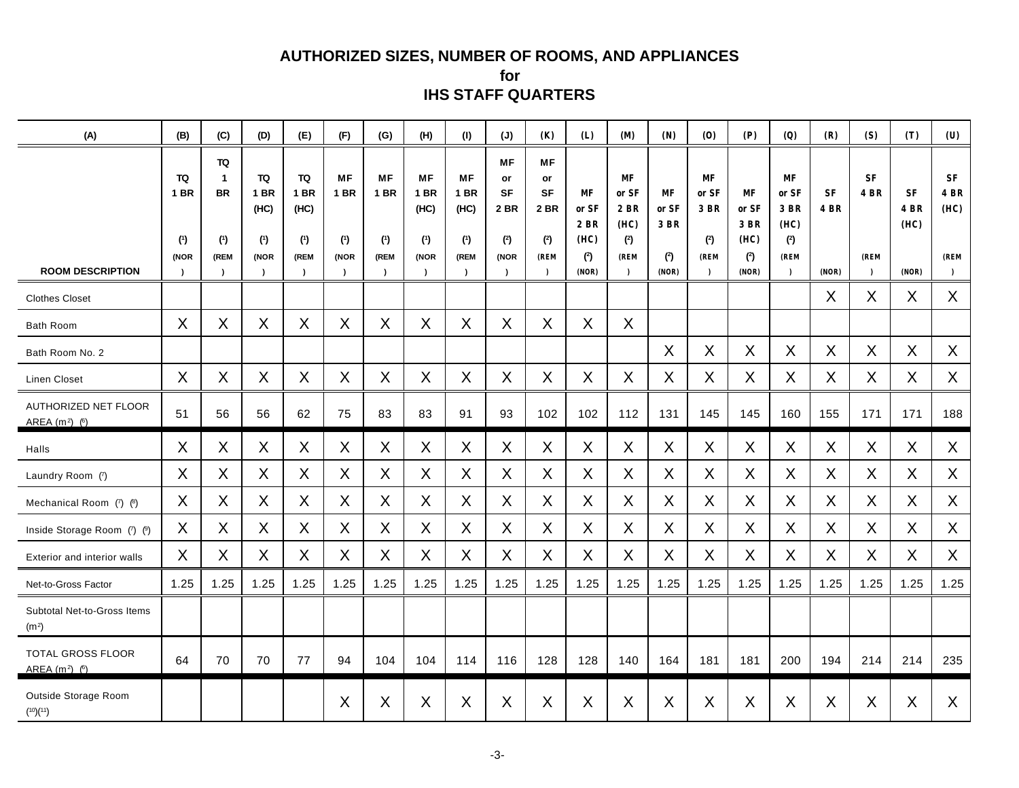## **AUTHORIZED SIZES, NUMBER OF ROOMS, AND APPLIANCES**

**for IHS STAFF QUARTERS**

| (A)                                              | (B)                                           | (C)                                                         | (D)                                      | (E)                                      | (F)                                     | (G)                                     | (H)                                                          | (1)                                                          | (J)                                                                     | (K)                                                              | (L)                                                | <b>(M)</b>                                              | (N)                                                 | (0)                                                    | (P)                                                | (Q)                                                            | (R)                               | (S)                                               | (T)                                | (U)                                                       |
|--------------------------------------------------|-----------------------------------------------|-------------------------------------------------------------|------------------------------------------|------------------------------------------|-----------------------------------------|-----------------------------------------|--------------------------------------------------------------|--------------------------------------------------------------|-------------------------------------------------------------------------|------------------------------------------------------------------|----------------------------------------------------|---------------------------------------------------------|-----------------------------------------------------|--------------------------------------------------------|----------------------------------------------------|----------------------------------------------------------------|-----------------------------------|---------------------------------------------------|------------------------------------|-----------------------------------------------------------|
| <b>ROOM DESCRIPTION</b>                          | <b>TQ</b><br>1 BR<br>(1)<br>(NOR<br>$\lambda$ | TQ<br>$\mathbf{1}$<br><b>BR</b><br>(1)<br>(REM<br>$\lambda$ | TQ<br><b>1 BR</b><br>(HC)<br>(1)<br>(NOR | <b>TQ</b><br>1 BR<br>(HC)<br>(1)<br>(REM | <b>MF</b><br><b>1 BR</b><br>(1)<br>(NOR | <b>MF</b><br><b>1 BR</b><br>(1)<br>(REM | <b>MF</b><br><b>1 BR</b><br>(HC)<br>(1)<br>(NOR<br>$\lambda$ | <b>MF</b><br><b>1 BR</b><br>(HC)<br>(1)<br>(REM<br>$\lambda$ | <b>MF</b><br>or<br><b>SF</b><br><b>2 BR</b><br>(2)<br>(NOR<br>$\lambda$ | MF<br>or<br><b>SF</b><br><b>2 BR</b><br>(2)<br>(REM<br>$\lambda$ | <b>MF</b><br>or SF<br>2 BR<br>(HC)<br>(2)<br>(NOR) | MF<br>or SF<br>2 BR<br>(HC)<br>(2)<br>(REM<br>$\lambda$ | <b>MF</b><br>or $SF$<br><b>3 BR</b><br>(2)<br>(NOR) | <b>MF</b><br>or SF<br>3 BR<br>(2)<br>(REM<br>$\lambda$ | <b>MF</b><br>or SF<br>3 BR<br>(HC)<br>(2)<br>(NOR) | <b>MF</b><br>or SF<br>3 BR<br>(HC)<br>(2)<br>(REM<br>$\lambda$ | <b>SF</b><br><b>4 BR</b><br>(NOR) | ${\rm\bf SF}$<br><b>4 BR</b><br>(REM<br>$\lambda$ | SF<br><b>4 BR</b><br>(HC)<br>(NOR) | ${\rm\bf SF}$<br><b>4 BR</b><br>(HC)<br>(REM<br>$\lambda$ |
| <b>Clothes Closet</b>                            |                                               |                                                             |                                          |                                          |                                         |                                         |                                                              |                                                              |                                                                         |                                                                  |                                                    |                                                         |                                                     |                                                        |                                                    |                                                                | X                                 | X                                                 | X                                  | X                                                         |
| <b>Bath Room</b>                                 | X                                             | X                                                           | X                                        | X                                        | X                                       | X                                       | X                                                            | X                                                            | X                                                                       | X                                                                | X                                                  | X                                                       |                                                     |                                                        |                                                    |                                                                |                                   |                                                   |                                    |                                                           |
| Bath Room No. 2                                  |                                               |                                                             |                                          |                                          |                                         |                                         |                                                              |                                                              |                                                                         |                                                                  |                                                    |                                                         | X                                                   | X                                                      | X                                                  | X                                                              | X                                 | X                                                 | X                                  | X                                                         |
| <b>Linen Closet</b>                              | $\sf X$                                       | X                                                           | X                                        | X                                        | $\sf X$                                 | X                                       | X                                                            | X                                                            | X                                                                       | X                                                                | X                                                  | X                                                       | X                                                   | X                                                      | X                                                  | X                                                              | $\sf X$                           | X                                                 | X                                  | X                                                         |
| <b>AUTHORIZED NET FLOOR</b><br>AREA $(m2)$ (6)   | 51                                            | 56                                                          | 56                                       | 62                                       | 75                                      | 83                                      | 83                                                           | 91                                                           | 93                                                                      | 102                                                              | 102                                                | 112                                                     | 131                                                 | 145                                                    | 145                                                | 160                                                            | 155                               | 171                                               | 171                                | 188                                                       |
| Halls                                            | X                                             | X                                                           | X                                        | X                                        | X                                       | X                                       | X                                                            | X                                                            | X                                                                       | X                                                                | X                                                  | X                                                       | X                                                   | X                                                      | X                                                  | X                                                              | X                                 | X                                                 | X                                  | X                                                         |
| Laundry Room (7)                                 | X                                             | X                                                           | X                                        | X                                        | $\sf X$                                 | $\mathsf{X}$                            | X                                                            | X                                                            | X                                                                       | X                                                                | X                                                  | $\mathsf{X}$                                            | X                                                   | X                                                      | X                                                  | X                                                              | $\sf X$                           | X                                                 | X                                  | X                                                         |
| Mechanical Room (7) (8)                          | X                                             | X                                                           | X                                        | X                                        | X                                       | X                                       | X                                                            | X                                                            | X                                                                       | X                                                                | X                                                  | X                                                       | X                                                   | X                                                      | X                                                  | X                                                              | X                                 | X                                                 | X                                  | X                                                         |
| Inside Storage Room (7) (9)                      | X                                             | X                                                           | $\mathsf X$                              | X                                        | X                                       | X                                       | X                                                            | X                                                            | $\sf X$                                                                 | X                                                                | X                                                  | $\mathsf{X}$                                            | X                                                   | X                                                      | X                                                  | X                                                              | X                                 | X                                                 | $\mathsf{X}$                       | X                                                         |
| Exterior and interior walls                      | X                                             | X                                                           | X                                        | X                                        | X                                       | X                                       | X                                                            | X                                                            | X                                                                       | X                                                                | X                                                  | X                                                       | X                                                   | X                                                      | X                                                  | X                                                              | X                                 | X                                                 | X                                  | X                                                         |
| Net-to-Gross Factor                              | 1.25                                          | 1.25                                                        | 1.25                                     | 1.25                                     | 1.25                                    | 1.25                                    | 1.25                                                         | 1.25                                                         | 1.25                                                                    | 1.25                                                             | 1.25                                               | 1.25                                                    | 1.25                                                | 1.25                                                   | 1.25                                               | 1.25                                                           | 1.25                              | 1.25                                              | 1.25                               | 1.25                                                      |
| Subtotal Net-to-Gross Items<br>(m <sup>2</sup> ) |                                               |                                                             |                                          |                                          |                                         |                                         |                                                              |                                                              |                                                                         |                                                                  |                                                    |                                                         |                                                     |                                                        |                                                    |                                                                |                                   |                                                   |                                    |                                                           |
| <b>TOTAL GROSS FLOOR</b><br>AREA $(m^2)$ $(6)$   | 64                                            | 70                                                          | 70                                       | 77                                       | 94                                      | 104                                     | 104                                                          | 114                                                          | 116                                                                     | 128                                                              | 128                                                | 140                                                     | 164                                                 | 181                                                    | 181                                                | 200                                                            | 194                               | 214                                               | 214                                | 235                                                       |
| Outside Storage Room<br>(10)(11)                 |                                               |                                                             |                                          |                                          | X                                       | X                                       | X                                                            | X                                                            | X                                                                       | X                                                                | X                                                  | X                                                       | X                                                   | X                                                      | X                                                  | X                                                              | X                                 | X                                                 | X                                  | X                                                         |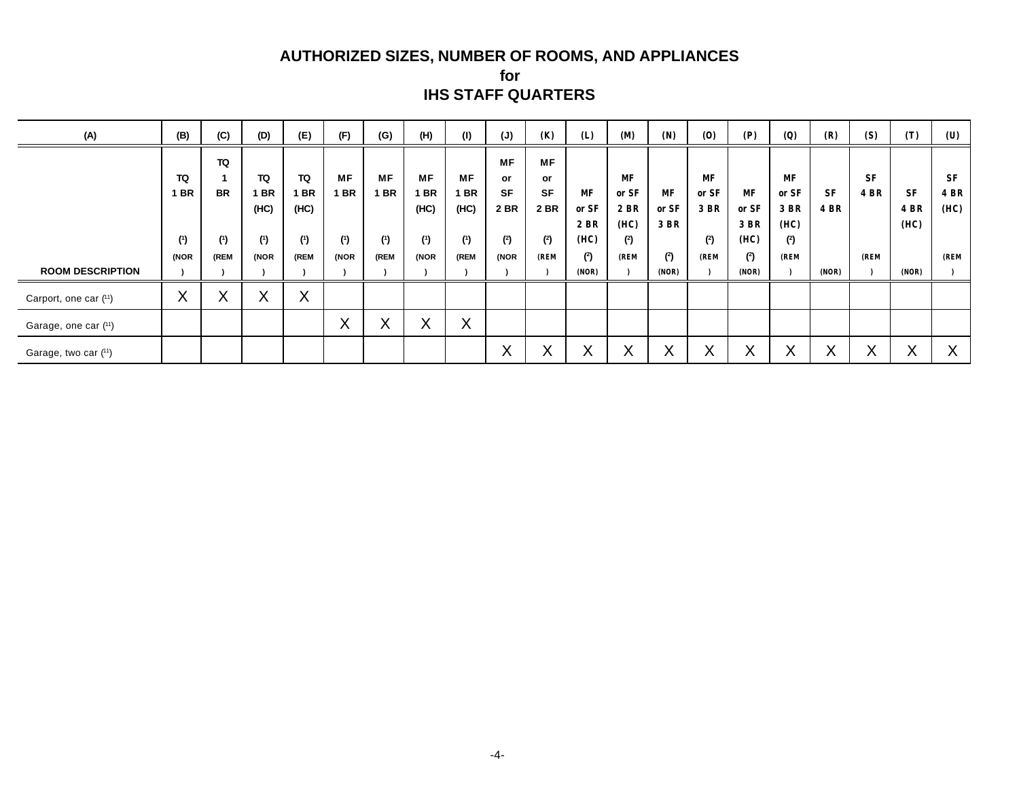## **AUTHORIZED SIZES, NUMBER OF ROOMS, AND APPLIANCES**

**for IHS STAFF QUARTERS**

| (A)                     | (B)                       | (C)       | (D)               | (E)  | (F)               | (G)                       | (H)       | (1)               | (J)       | (K)       | (L)               | <b>(M)</b> | (N)          | (0)       | (P)   | (Q)               | (R)          | (S)          | (T)               | (U)         |
|-------------------------|---------------------------|-----------|-------------------|------|-------------------|---------------------------|-----------|-------------------|-----------|-----------|-------------------|------------|--------------|-----------|-------|-------------------|--------------|--------------|-------------------|-------------|
|                         |                           | TQ        |                   |      |                   |                           |           |                   | <b>MF</b> | <b>MF</b> |                   |            |              |           |       |                   |              |              |                   |             |
|                         | TQ                        |           | TQ                | TQ   | <b>MF</b>         | <b>MF</b>                 | МF        | МF                | <b>or</b> | or        |                   | MF         |              | <b>MF</b> |       | MF                |              | <b>SF</b>    |                   | <b>SF</b>   |
|                         | I BR                      | <b>BR</b> | <b>BR</b>         | 1 BR | <b>1 BR</b>       | I BR                      | <b>BR</b> | <b>BR</b>         | <b>SF</b> | <b>SF</b> | MF                | or SF      | MF           | or SF     | MF    | or SF             | <b>SF</b>    | <b>4 BR</b>  | <b>SF</b>         | <b>4 BR</b> |
|                         |                           |           | (HC)              | (HC) |                   |                           | (HC)      | (HC)              | 2 BR      | 2 BR      | or SF             | 2 BR       | or SF        | 3 BR      | or SF | 3 BR              | <b>4 BR</b>  |              | <b>4 BR</b>       | (HC)        |
|                         |                           |           |                   |      |                   |                           |           |                   |           |           | 2 BR              | (HC)       | 3 BR         |           | 3 BR  | (HC)              |              |              | (HC)              |             |
|                         | (1)                       | (1)       | (1)               | (1)  | (1)               | (1)                       | (1)       | (1)               | (2)       | (2)       | (HC)              | (2)        |              | (2)       | (HC)  | (2)               |              |              |                   |             |
|                         | (NOR                      | (REM      | (NOR              | (REM | (NOR              | (REM                      | (NOR      | (REM              | (NOR      | (REM      | (2)               | (REM       | (2)          | (REM      | (2)   | (REM              |              | (REM         |                   | (REM        |
| <b>ROOM DESCRIPTION</b> |                           |           |                   |      |                   |                           |           |                   |           |           | (NOR)             |            | (NOR)        |           | (NOR) |                   | (NOR)        |              | (NOR)             |             |
| Carport, one car (11)   | $\checkmark$<br>$\lambda$ | v<br>∧    | $\checkmark$<br>∧ | X    |                   |                           |           |                   |           |           |                   |            |              |           |       |                   |              |              |                   |             |
| Garage, one car (11)    |                           |           |                   |      | $\checkmark$<br>⌒ | $\checkmark$<br>$\lambda$ | ⌒         | $\checkmark$<br>∧ |           |           |                   |            |              |           |       |                   |              |              |                   |             |
| Garage, two car (11)    |                           |           |                   |      |                   |                           |           |                   | X         | Λ         | $\checkmark$<br>∧ | v          | $\checkmark$ | Χ         | ∧     | $\checkmark$<br>⋏ | $\checkmark$ | $\mathbf{v}$ | $\checkmark$<br>∧ | ∧           |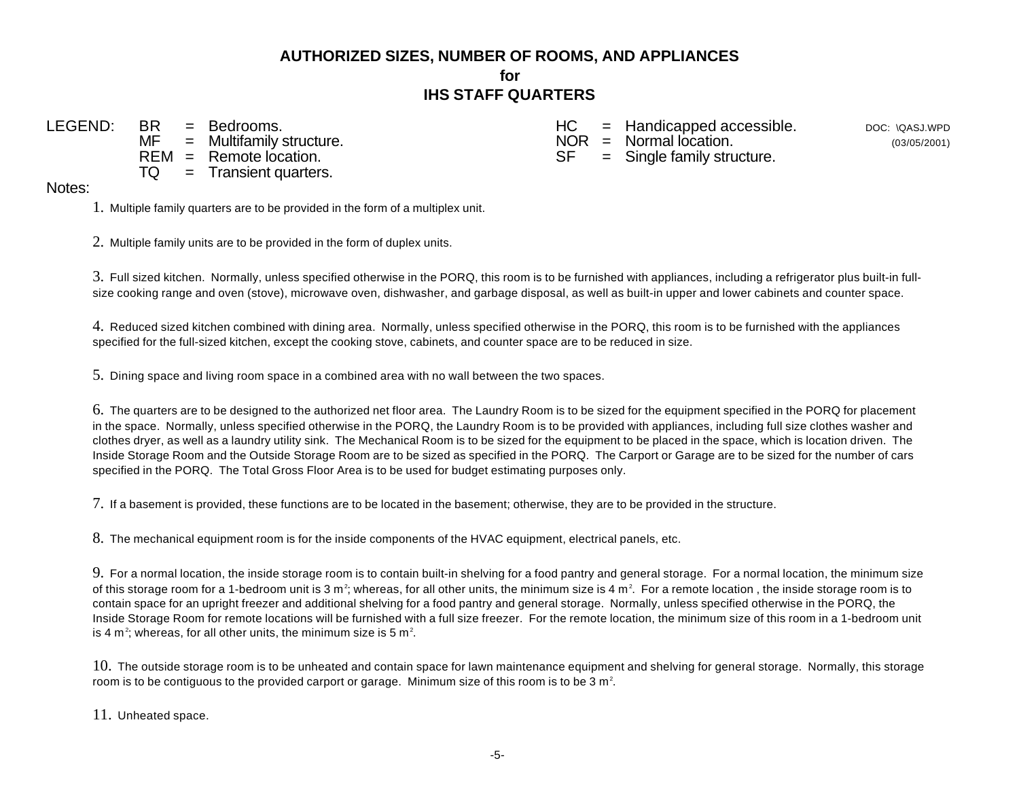# **AUTHORIZED SIZES, NUMBER OF ROOMS, AND APPLIANCES for IHS STAFF QUARTERS**

 $REM =$  Remote location.<br> $TO =$  Transient quarters  $=$  Transient quarters.

LEGEND: BR = Bedrooms.<br>  $M = M$ ultifamily structure.<br>  $M = M$ ultifamily structure.<br>  $M = M$ ultifamily structure.  $NOR = Normal location.$ <br> $SF = Single family structure.$ 

DOC: \QASJ.WPD (03/05/2001)

## Notes:

1. Multiple family quarters are to be provided in the form of a multiplex unit.

2. Multiple family units are to be provided in the form of duplex units.

3. Full sized kitchen. Normally, unless specified otherwise in the PORQ, this room is to be furnished with appliances, including a refrigerator plus built-in fullsize cooking range and oven (stove), microwave oven, dishwasher, and garbage disposal, as well as built-in upper and lower cabinets and counter space.

4. Reduced sized kitchen combined with dining area. Normally, unless specified otherwise in the PORQ, this room is to be furnished with the appliances specified for the full-sized kitchen, except the cooking stove, cabinets, and counter space are to be reduced in size.

5. Dining space and living room space in a combined area with no wall between the two spaces.

6. The quarters are to be designed to the authorized net floor area. The Laundry Room is to be sized for the equipment specified in the PORQ for placement in the space. Normally, unless specified otherwise in the PORQ, the Laundry Room is to be provided with appliances, including full size clothes washer and clothes dryer, as well as a laundry utility sink. The Mechanical Room is to be sized for the equipment to be placed in the space, which is location driven. The Inside Storage Room and the Outside Storage Room are to be sized as specified in the PORQ. The Carport or Garage are to be sized for the number of cars specified in the PORQ. The Total Gross Floor Area is to be used for budget estimating purposes only.

7. If a basement is provided, these functions are to be located in the basement; otherwise, they are to be provided in the structure.

8. The mechanical equipment room is for the inside components of the HVAC equipment, electrical panels, etc.

9. For a normal location, the inside storage room is to contain built-in shelving for a food pantry and general storage. For a normal location, the minimum size of this storage room for a 1-bedroom unit is 3 m<sup>2</sup>; whereas, for all other units, the minimum size is 4 m<sup>2</sup>. For a remote location, the inside storage room is to contain space for an upright freezer and additional shelving for a food pantry and general storage. Normally, unless specified otherwise in the PORQ, the Inside Storage Room for remote locations will be furnished with a full size freezer. For the remote location, the minimum size of this room in a 1-bedroom unit is 4 m<sup>2</sup>; whereas, for all other units, the minimum size is 5 m<sup>2</sup>.

10. The outside storage room is to be unheated and contain space for lawn maintenance equipment and shelving for general storage. Normally, this storage room is to be contiguous to the provided carport or garage. Minimum size of this room is to be 3  $m<sup>2</sup>$ .

11. Unheated space.